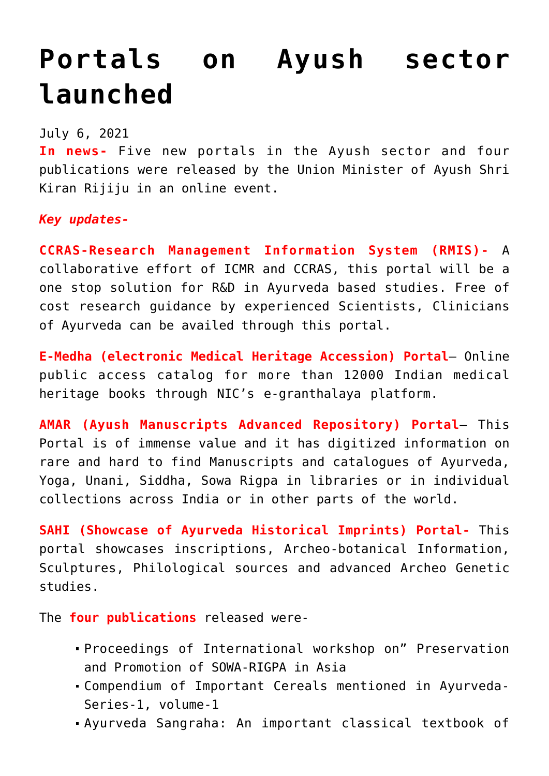## **[Portals on Ayush sector](https://journalsofindia.com/portals-on-ayush-sector-launched/) [launched](https://journalsofindia.com/portals-on-ayush-sector-launched/)**

## July 6, 2021

**In news-** Five new portals in the Ayush sector and four publications were released by the Union Minister of Ayush Shri Kiran Rijiju in an online event.

*Key updates-*

**CCRAS-Research Management Information System (RMIS)-** A collaborative effort of ICMR and CCRAS, this portal will be a one stop solution for R&D in Ayurveda based studies. Free of cost research guidance by experienced Scientists, Clinicians of Ayurveda can be availed through this portal.

**E-Medha (electronic Medical Heritage Accession) Portal**– Online public access catalog for more than 12000 Indian medical heritage books through NIC's e-granthalaya platform.

**AMAR (Ayush Manuscripts Advanced Repository) Portal**– This Portal is of immense value and it has digitized information on rare and hard to find Manuscripts and catalogues of Ayurveda, Yoga, Unani, Siddha, Sowa Rigpa in libraries or in individual collections across India or in other parts of the world.

**SAHI (Showcase of Ayurveda Historical Imprints) Portal-** This portal showcases inscriptions, Archeo-botanical Information, Sculptures, Philological sources and advanced Archeo Genetic studies.

The **four publications** released were-

- Proceedings of International workshop on" Preservation and Promotion of SOWA-RIGPA in Asia
- Compendium of Important Cereals mentioned in Ayurveda-Series-1, volume-1
- Ayurveda Sangraha: An important classical textbook of